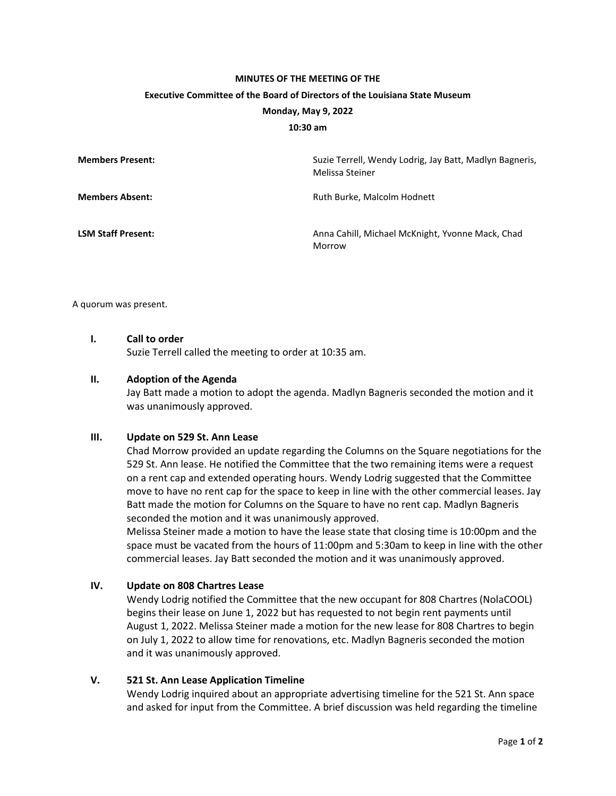### **MINUTES OF THE MEETING OF THE**

#### **Executive Committee of the Board of Directors of the Louisiana State Museum**

#### **Monday, May 9, 2022**

#### **10:30 am**

| <b>Members Present:</b>   | Suzie Terrell, Wendy Lodrig, Jay Batt, Madlyn Bagneris,<br>Melissa Steiner |
|---------------------------|----------------------------------------------------------------------------|
| <b>Members Absent:</b>    | Ruth Burke, Malcolm Hodnett                                                |
| <b>LSM Staff Present:</b> | Anna Cahill, Michael McKnight, Yvonne Mack, Chad<br>Morrow                 |

A quorum was present.

### **I. Call to order**

Suzie Terrell called the meeting to order at 10:35 am.

#### **II. Adoption of the Agenda**

Jay Batt made a motion to adopt the agenda. Madlyn Bagneris seconded the motion and it was unanimously approved.

### **III. Update on 529 St. Ann Lease**

Chad Morrow provided an update regarding the Columns on the Square negotiations for the 529 St. Ann lease. He notified the Committee that the two remaining items were a request on a rent cap and extended operating hours. Wendy Lodrig suggested that the Committee move to have no rent cap for the space to keep in line with the other commercial leases. Jay Batt made the motion for Columns on the Square to have no rent cap. Madlyn Bagneris seconded the motion and it was unanimously approved.

Melissa Steiner made a motion to have the lease state that closing time is 10:00pm and the space must be vacated from the hours of 11:00pm and 5:30am to keep in line with the other commercial leases. Jay Batt seconded the motion and it was unanimously approved.

# **IV. Update on 808 Chartres Lease**

Wendy Lodrig notified the Committee that the new occupant for 808 Chartres (NolaCOOL) begins their lease on June 1, 2022 but has requested to not begin rent payments until August 1, 2022. Melissa Steiner made a motion for the new lease for 808 Chartres to begin on July 1, 2022 to allow time for renovations, etc. Madlyn Bagneris seconded the motion and it was unanimously approved.

## **V. 521 St. Ann Lease Application Timeline**

Wendy Lodrig inquired about an appropriate advertising timeline for the 521 St. Ann space and asked for input from the Committee. A brief discussion was held regarding the timeline